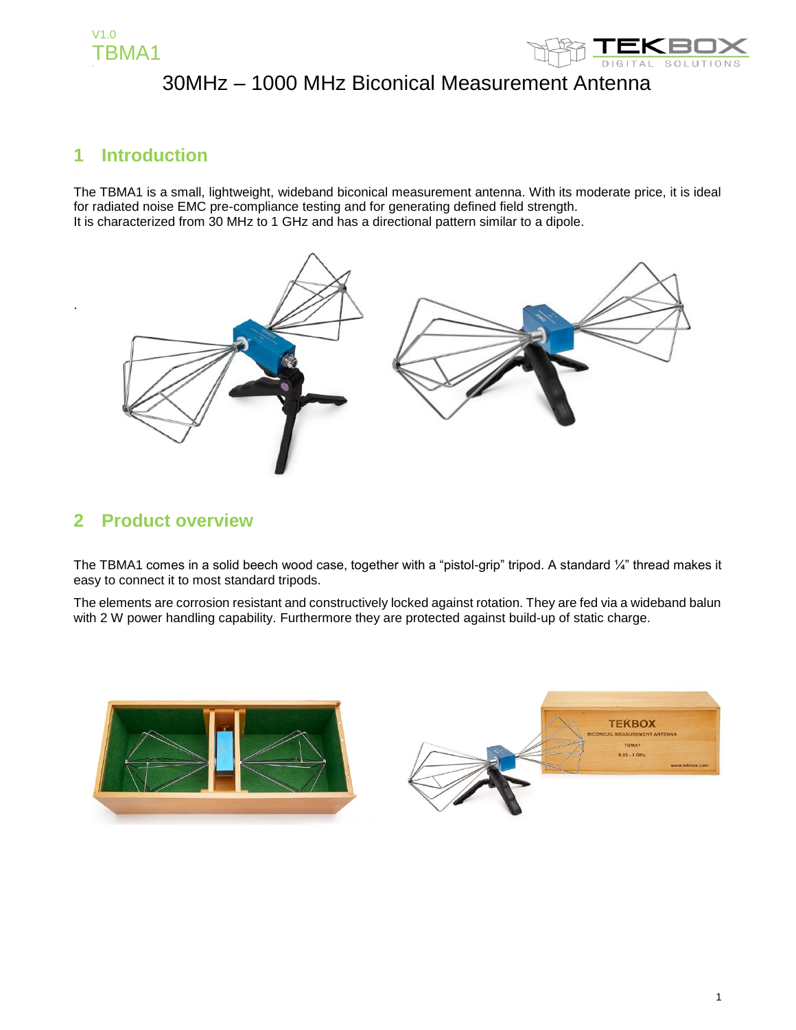

### **1 Introduction**

.

The TBMA1 is a small, lightweight, wideband biconical measurement antenna. With its moderate price, it is ideal for radiated noise EMC pre-compliance testing and for generating defined field strength. It is characterized from 30 MHz to 1 GHz and has a directional pattern similar to a dipole.



#### **2 Product overview**

The TBMA1 comes in a solid beech wood case, together with a "pistol-grip" tripod. A standard 1/4" thread makes it easy to connect it to most standard tripods.

The elements are corrosion resistant and constructively locked against rotation. They are fed via a wideband balun with 2 W power handling capability. Furthermore they are protected against build-up of static charge.

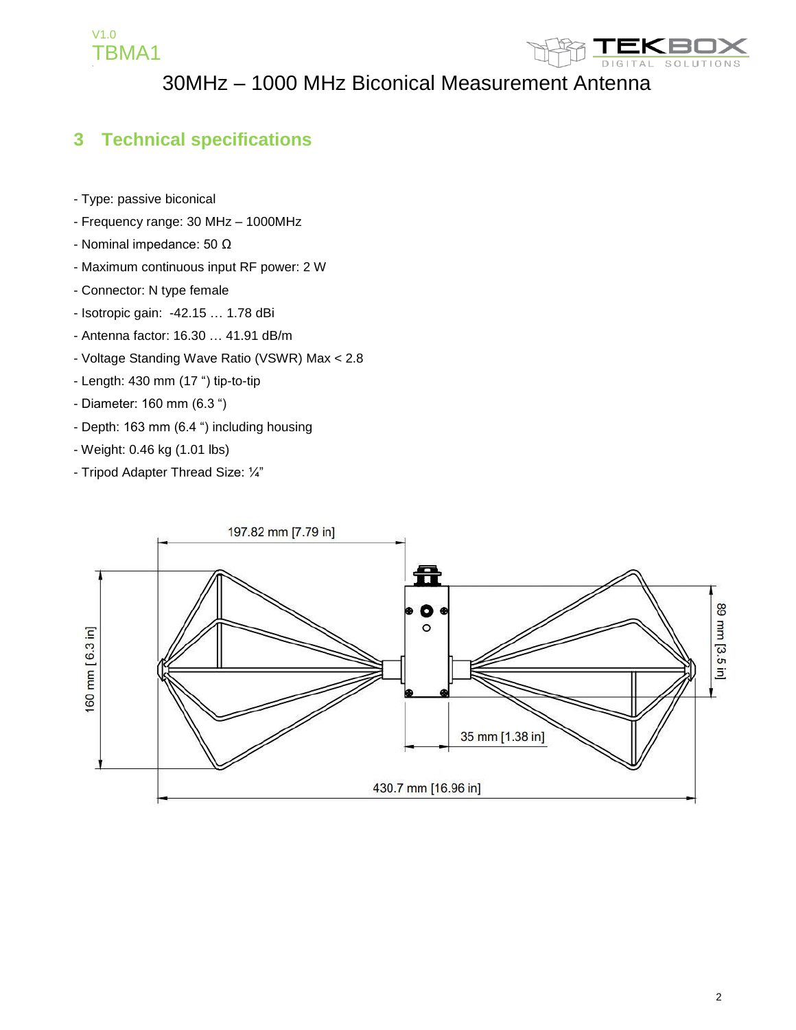



### **3 Technical specifications**

- Type: passive biconical
- Frequency range: 30 MHz 1000MHz
- Nominal impedance: 50 Ω
- Maximum continuous input RF power: 2 W
- Connector: N type female
- Isotropic gain: -42.15 … 1.78 dBi
- Antenna factor: 16.30 … 41.91 dB/m
- Voltage Standing Wave Ratio (VSWR) Max < 2.8
- Length: 430 mm (17 ") tip-to-tip
- Diameter: 160 mm (6.3 ")
- Depth: 163 mm (6.4 ") including housing
- Weight: 0.46 kg (1.01 lbs)
- Tripod Adapter Thread Size: ¼"

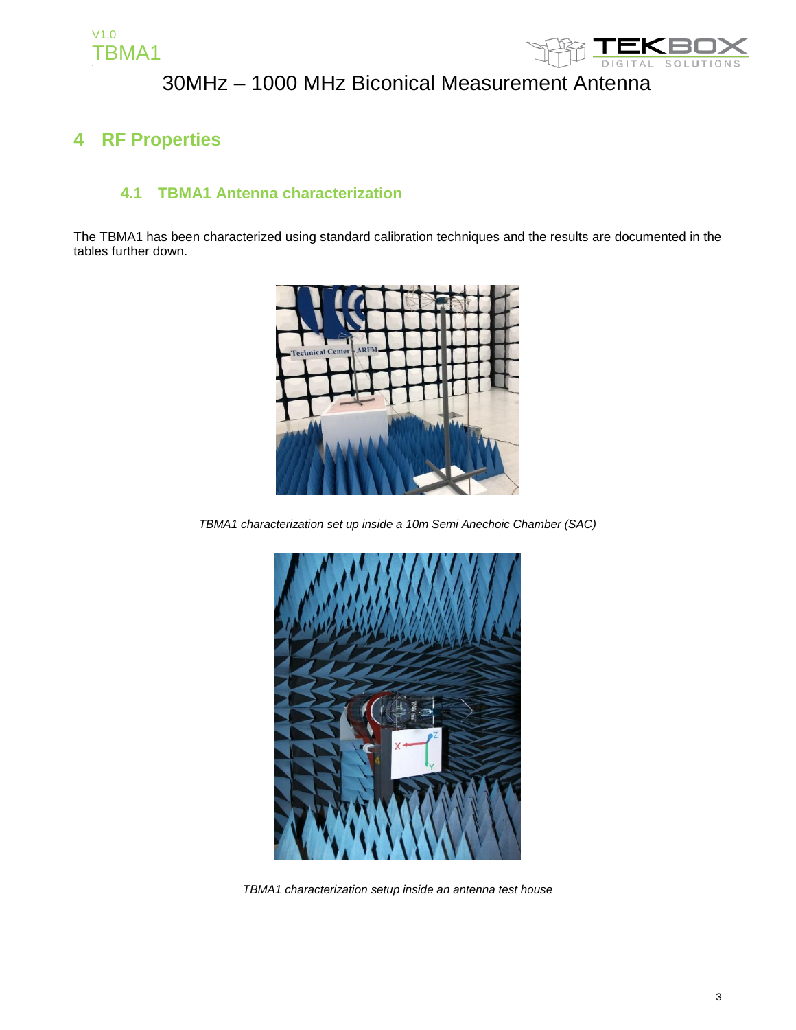

### **4 RF Properties**

#### **4.1 TBMA1 Antenna characterization**

The TBMA1 has been characterized using standard calibration techniques and the results are documented in the tables further down.



*TBMA1 characterization set up inside a 10m Semi Anechoic Chamber (SAC)*



*TBMA1 characterization setup inside an antenna test house*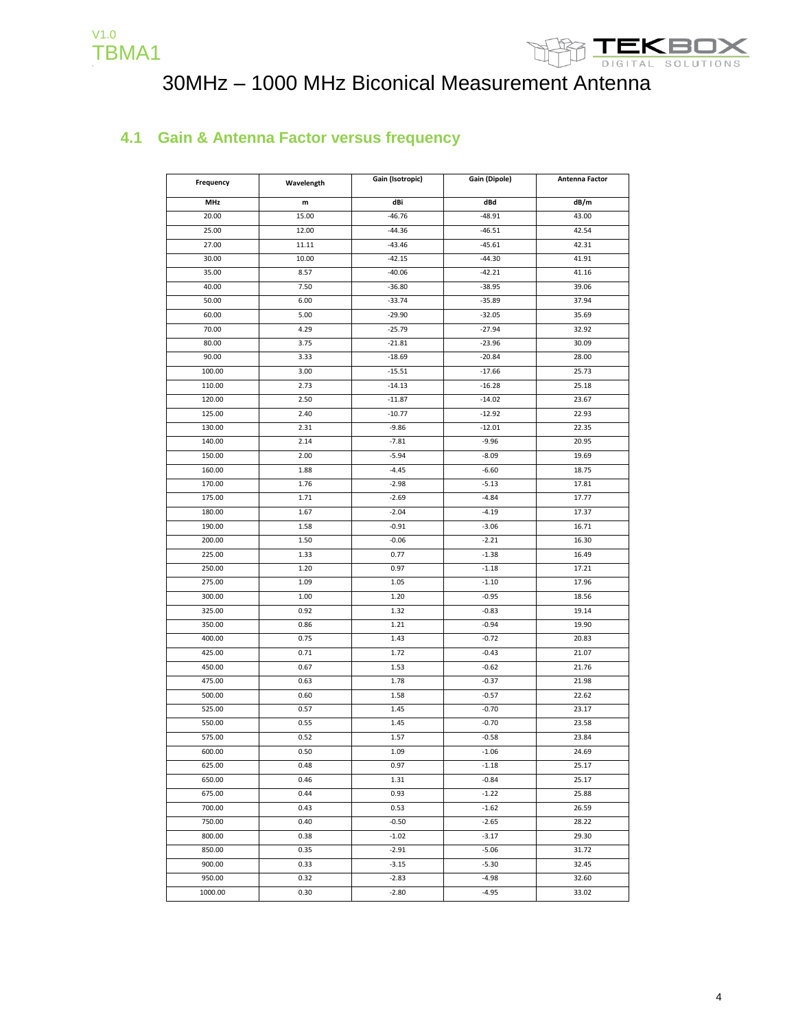



#### **4.1 Gain & Antenna Factor versus frequency**

| Frequency  | Wavelength | Gain (Isotropic) | Gain (Dipole) | Antenna Factor |
|------------|------------|------------------|---------------|----------------|
| <b>MHz</b> | m          | dBi              | dBd           | dB/m           |
| 20.00      | 15.00      | $-46.76$         | $-48.91$      | 43.00          |
| 25.00      | 12.00      | $-44.36$         | $-46.51$      | 42.54          |
| 27.00      | 11.11      | $-43.46$         | $-45.61$      | 42.31          |
| 30.00      | 10.00      | $-42.15$         | $-44.30$      | 41.91          |
| 35.00      | 8.57       | $-40.06$         | $-42.21$      | 41.16          |
| 40.00      | 7.50       | $-36.80$         | $-38.95$      | 39.06          |
| 50.00      | 6.00       | $-33.74$         | $-35.89$      | 37.94          |
| 60.00      | 5.00       | $-29.90$         | $-32.05$      | 35.69          |
| 70.00      | 4.29       | $-25.79$         | $-27.94$      | 32.92          |
| 80.00      | 3.75       | $-21.81$         | $-23.96$      | 30.09          |
| 90.00      | 3.33       | $-18.69$         | $-20.84$      | 28.00          |
| 100.00     | 3.00       | $-15.51$         | $-17.66$      | 25.73          |
| 110.00     | 2.73       | $-14.13$         | $-16.28$      | 25.18          |
| 120.00     | 2.50       | $-11.87$         | $-14.02$      | 23.67          |
| 125.00     | 2.40       | $-10.77$         | $-12.92$      | 22.93          |
| 130.00     | 2.31       | $-9.86$          | $-12.01$      | 22.35          |
| 140.00     | 2.14       | $-7.81$          | $-9.96$       | 20.95          |
| 150.00     | 2.00       | $-5.94$          | $-8.09$       | 19.69          |
| 160.00     | 1.88       | $-4.45$          | $-6.60$       | 18.75          |
| 170.00     | 1.76       | $-2.98$          | $-5.13$       | 17.81          |
| 175.00     | 1.71       | $-2.69$          | $-4.84$       | 17.77          |
| 180.00     | 1.67       | $-2.04$          | $-4.19$       | 17.37          |
| 190.00     | 1.58       | $-0.91$          | $-3.06$       | 16.71          |
| 200.00     | 1.50       | $-0.06$          | $-2.21$       | 16.30          |
| 225.00     | 1.33       | 0.77             | $-1.38$       | 16.49          |
| 250.00     | 1.20       | 0.97             | $-1.18$       | 17.21          |
| 275.00     | 1.09       | 1.05             | $-1.10$       | 17.96          |
| 300.00     | 1.00       | 1.20             | $-0.95$       | 18.56          |
| 325.00     | 0.92       | 1.32             | $-0.83$       | 19.14          |
| 350.00     | 0.86       | 1.21             | $-0.94$       | 19.90          |
| 400.00     | 0.75       | 1.43             | $-0.72$       | 20.83          |
| 425.00     | 0.71       | 1.72             | $-0.43$       | 21.07          |
| 450.00     | 0.67       | 1.53             | $-0.62$       | 21.76          |
| 475.00     | 0.63       | 1.78             | $-0.37$       | 21.98          |
| 500.00     | 0.60       | 1.58             | $-0.57$       | 22.62          |
| 525.00     | 0.57       | 1.45             | $-0.70$       | 23.17          |
| 550.00     | 0.55       | 1.45             | $-0.70$       | 23.58          |
| 575.00     | 0.52       | 1.57             | $-0.58$       | 23.84          |
| 600.00     | 0.50       | 1.09             | $-1.06$       | 24.69          |
| 625.00     | 0.48       | 0.97             | $-1.18$       | 25.17          |
| 650.00     | 0.46       | 1.31             | $-0.84$       | 25.17          |
| 675.00     | 0.44       | 0.93             | $-1.22$       | 25.88          |
| 700.00     | 0.43       | 0.53             | $-1.62$       | 26.59          |
| 750.00     | 0.40       | $-0.50$          | $-2.65$       | 28.22          |
| 800.00     | 0.38       | $-1.02$          | $-3.17$       | 29.30          |
| 850.00     | 0.35       | $-2.91$          | $-5.06$       | 31.72          |
| 900.00     | 0.33       | $-3.15$          | $-5.30$       | 32.45          |
| 950.00     | 0.32       | $-2.83$          | $-4.98$       | 32.60          |
| 1000.00    | 0.30       | $-2.80$          | $-4.95$       | 33.02          |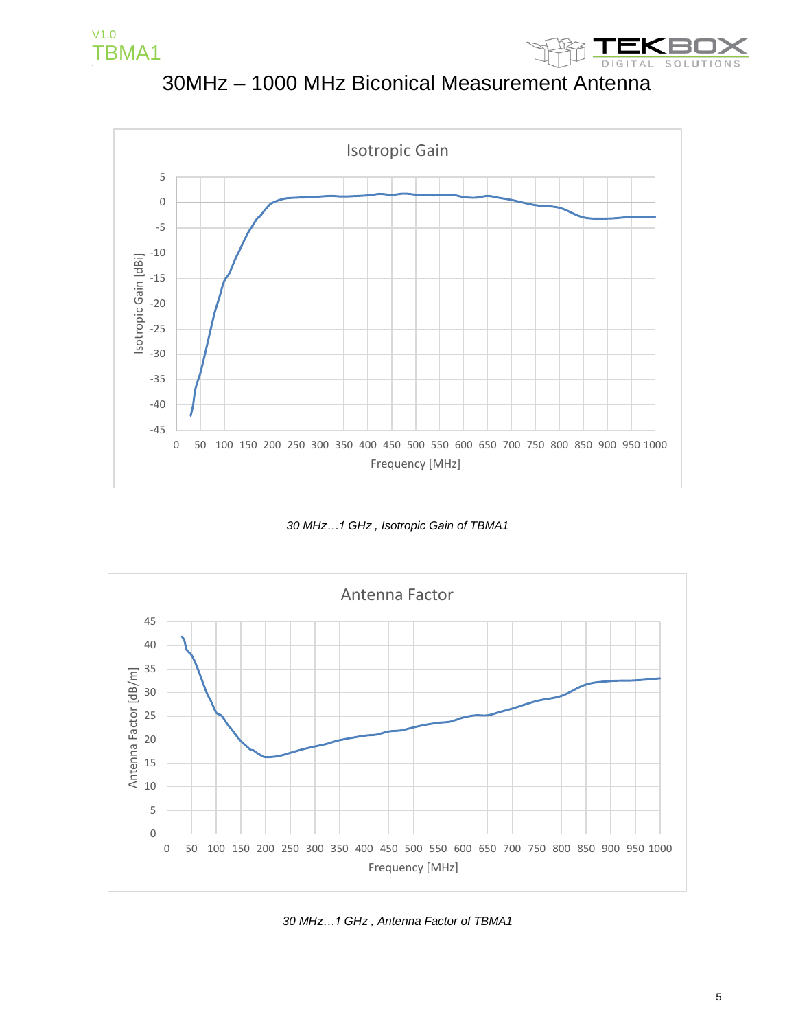

30MHz – 1000 MHz Biconical Measurement Antenna



*30 MHz…1 GHz , Isotropic Gain of TBMA1* 



*30 MHz…1 GHz , Antenna Factor of TBMA1*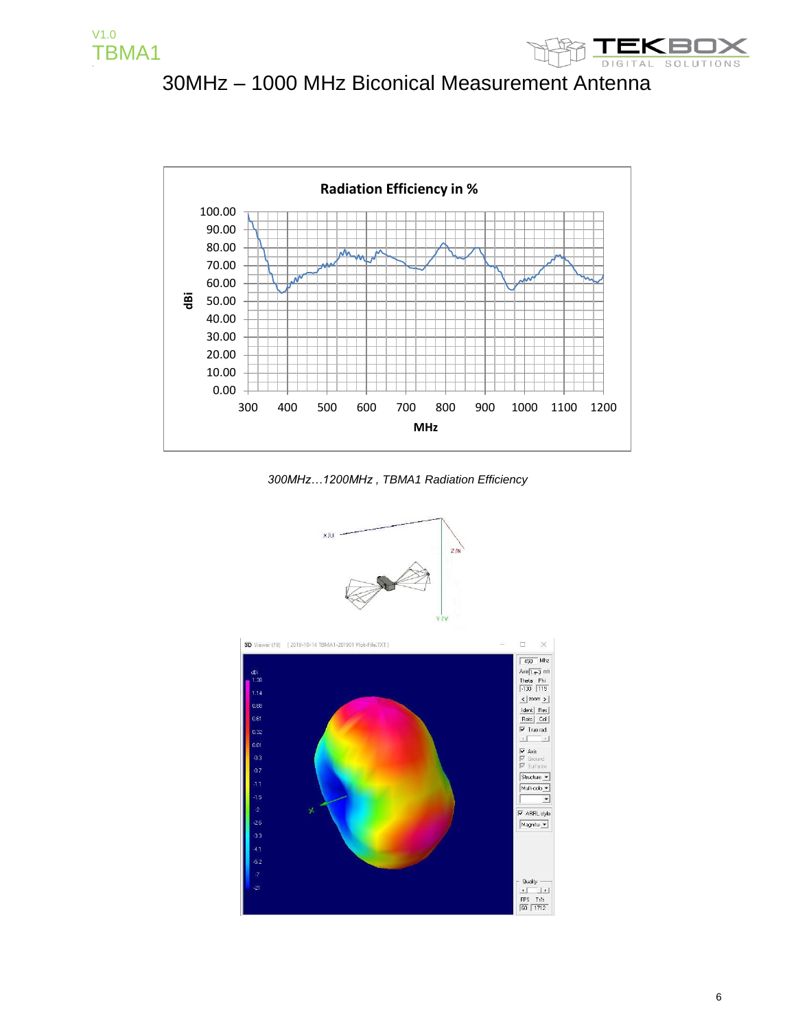





*300MHz…1200MHz , TBMA1 Radiation Efficiency* 

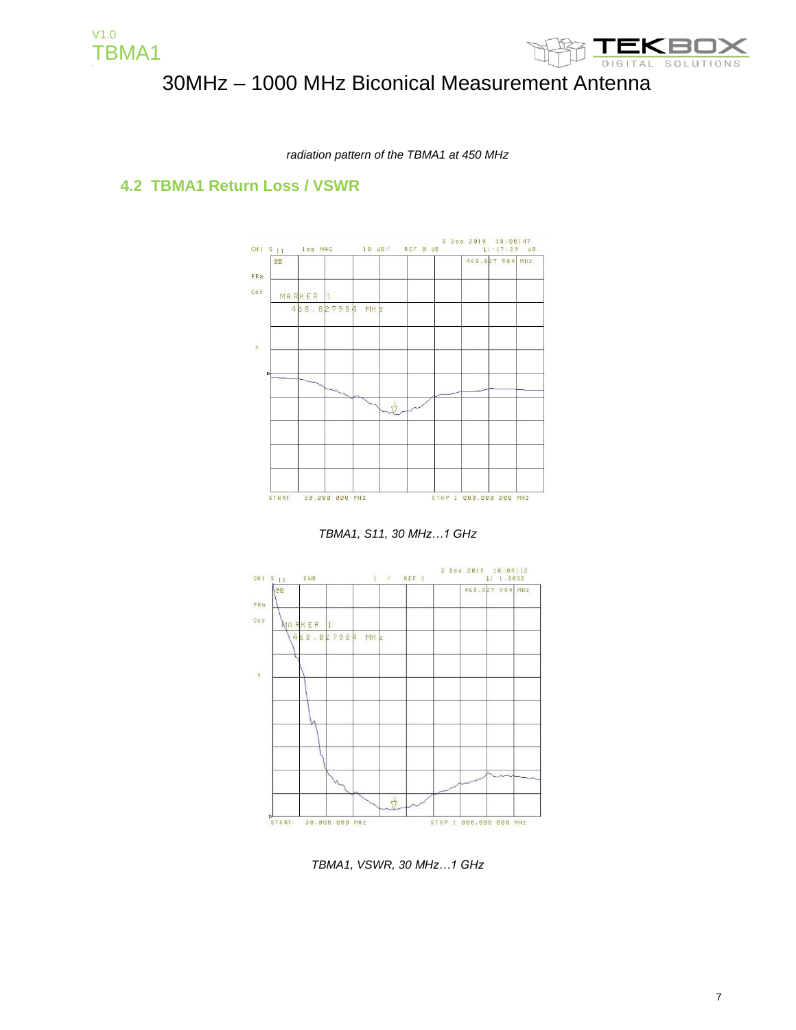



*radiation pattern of the TBMA1 at 450 MHz*

#### **4.2 TBMA1 Return Loss / VSWR**



*TBMA1, S11, 30 MHz…1 GHz*



*TBMA1, VSWR, 30 MHz…1 GHz*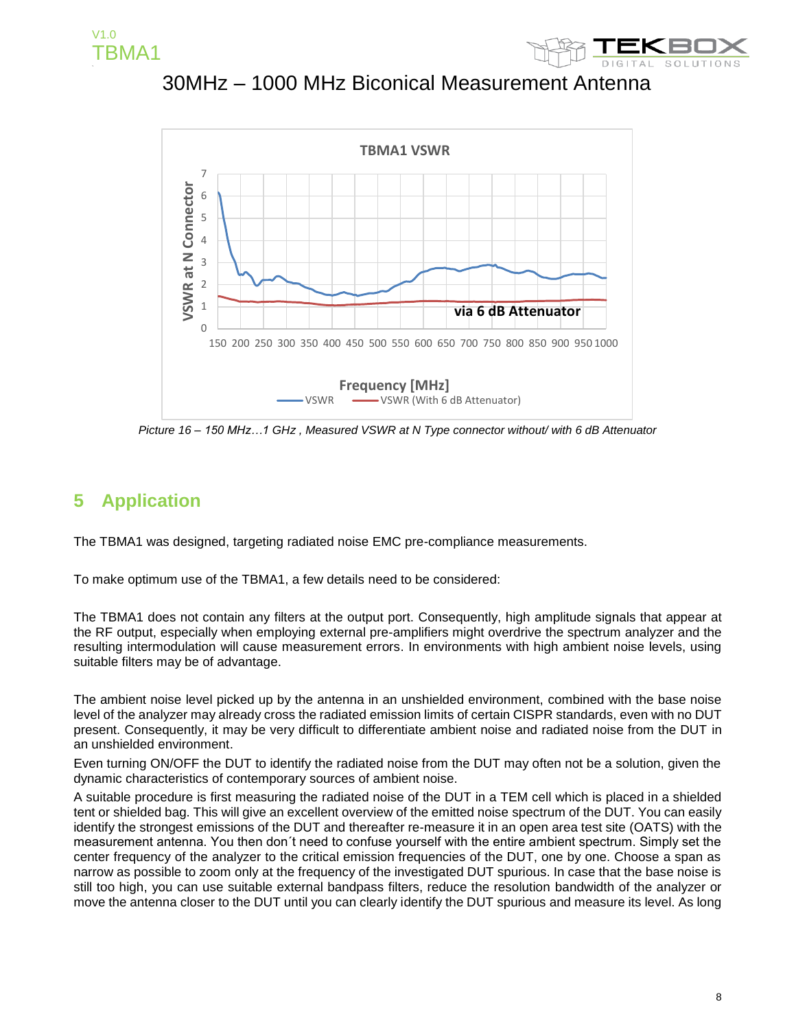







*Picture 16 – 150 MHz…1 GHz , Measured VSWR at N Type connector without/ with 6 dB Attenuator*

#### **5 Application**

The TBMA1 was designed, targeting radiated noise EMC pre-compliance measurements.

To make optimum use of the TBMA1, a few details need to be considered:

The TBMA1 does not contain any filters at the output port. Consequently, high amplitude signals that appear at the RF output, especially when employing external pre-amplifiers might overdrive the spectrum analyzer and the resulting intermodulation will cause measurement errors. In environments with high ambient noise levels, using suitable filters may be of advantage.

The ambient noise level picked up by the antenna in an unshielded environment, combined with the base noise level of the analyzer may already cross the radiated emission limits of certain CISPR standards, even with no DUT present. Consequently, it may be very difficult to differentiate ambient noise and radiated noise from the DUT in an unshielded environment.

Even turning ON/OFF the DUT to identify the radiated noise from the DUT may often not be a solution, given the dynamic characteristics of contemporary sources of ambient noise.

A suitable procedure is first measuring the radiated noise of the DUT in a TEM cell which is placed in a shielded tent or shielded bag. This will give an excellent overview of the emitted noise spectrum of the DUT. You can easily identify the strongest emissions of the DUT and thereafter re-measure it in an open area test site (OATS) with the measurement antenna. You then don´t need to confuse yourself with the entire ambient spectrum. Simply set the center frequency of the analyzer to the critical emission frequencies of the DUT, one by one. Choose a span as narrow as possible to zoom only at the frequency of the investigated DUT spurious. In case that the base noise is still too high, you can use suitable external bandpass filters, reduce the resolution bandwidth of the analyzer or move the antenna closer to the DUT until you can clearly identify the DUT spurious and measure its level. As long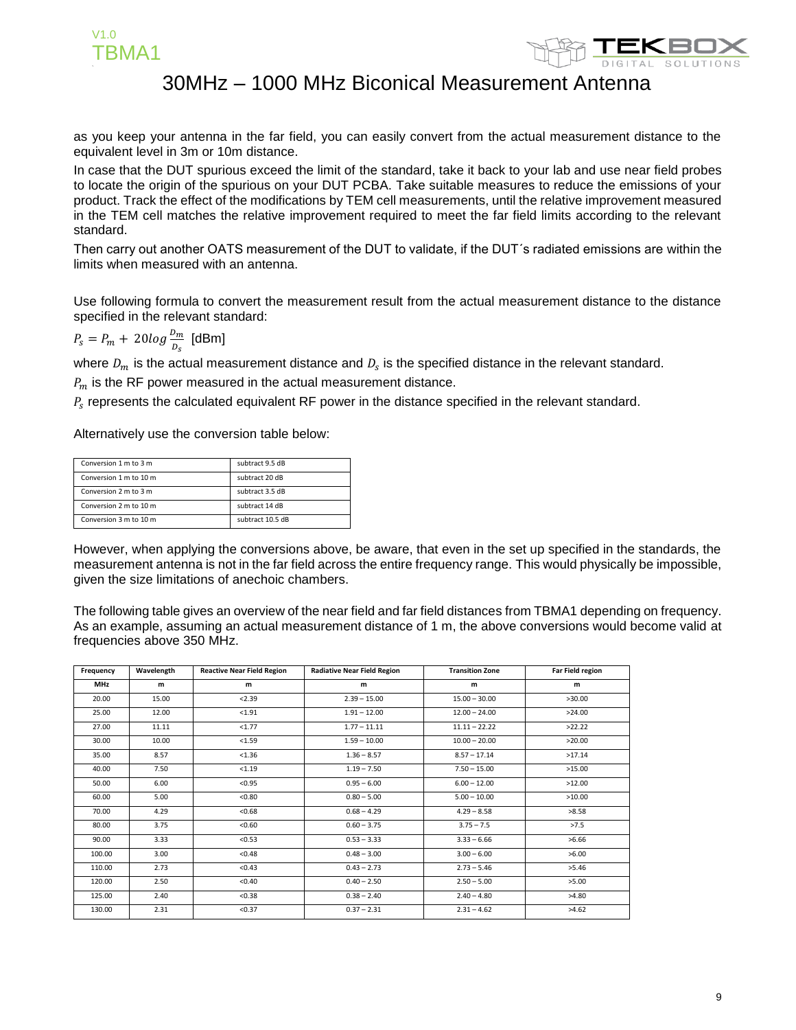



as you keep your antenna in the far field, you can easily convert from the actual measurement distance to the equivalent level in 3m or 10m distance.

In case that the DUT spurious exceed the limit of the standard, take it back to your lab and use near field probes to locate the origin of the spurious on your DUT PCBA. Take suitable measures to reduce the emissions of your product. Track the effect of the modifications by TEM cell measurements, until the relative improvement measured in the TEM cell matches the relative improvement required to meet the far field limits according to the relevant standard.

Then carry out another OATS measurement of the DUT to validate, if the DUT´s radiated emissions are within the limits when measured with an antenna.

Use following formula to convert the measurement result from the actual measurement distance to the distance specified in the relevant standard:

 $P_s = P_m + 20log \frac{D_m}{D_s}$  [dBm]

where  $D_m$  is the actual measurement distance and  $D_s$  is the specified distance in the relevant standard.

 $P_m$  is the RF power measured in the actual measurement distance.

 $P_{s}$  represents the calculated equivalent RF power in the distance specified in the relevant standard.

Alternatively use the conversion table below:

| Conversion 1 m to 3 m  | subtract 9.5 dB  |  |
|------------------------|------------------|--|
| Conversion 1 m to 10 m | subtract 20 dB   |  |
| Conversion 2 m to 3 m  | subtract 3.5 dB  |  |
| Conversion 2 m to 10 m | subtract 14 dB   |  |
| Conversion 3 m to 10 m | subtract 10.5 dB |  |

However, when applying the conversions above, be aware, that even in the set up specified in the standards, the measurement antenna is not in the far field across the entire frequency range. This would physically be impossible, given the size limitations of anechoic chambers.

The following table gives an overview of the near field and far field distances from TBMA1 depending on frequency. As an example, assuming an actual measurement distance of 1 m, the above conversions would become valid at frequencies above 350 MHz.

| Frequency  | Wavelength | <b>Reactive Near Field Region</b> | <b>Radiative Near Field Region</b> | <b>Transition Zone</b> | <b>Far Field region</b> |
|------------|------------|-----------------------------------|------------------------------------|------------------------|-------------------------|
| <b>MHz</b> | m          | m                                 | m                                  | m                      | m                       |
| 20.00      | 15.00      | < 2.39                            | $2.39 - 15.00$                     | $15.00 - 30.00$        | >30.00                  |
| 25.00      | 12.00      | < 1.91                            | $1.91 - 12.00$                     | $12.00 - 24.00$        | >24.00                  |
| 27.00      | 11.11      | < 1.77                            | $1.77 - 11.11$                     | $11.11 - 22.22$        | >22.22                  |
| 30.00      | 10.00      | < 1.59                            | $1.59 - 10.00$                     | $10.00 - 20.00$        | >20.00                  |
| 35.00      | 8.57       | < 1.36                            | $1.36 - 8.57$                      | $8.57 - 17.14$         | >17.14                  |
| 40.00      | 7.50       | < 1.19                            | $1.19 - 7.50$                      | $7.50 - 15.00$         | >15.00                  |
| 50.00      | 6.00       | < 0.95                            | $0.95 - 6.00$                      | $6.00 - 12.00$         | >12.00                  |
| 60.00      | 5.00       | < 0.80                            | $0.80 - 5.00$                      | $5.00 - 10.00$         | >10.00                  |
| 70.00      | 4.29       | < 0.68                            | $0.68 - 4.29$                      | $4.29 - 8.58$          | >8.58                   |
| 80.00      | 3.75       | < 0.60                            | $0.60 - 3.75$                      | $3.75 - 7.5$           | >7.5                    |
| 90.00      | 3.33       | < 0.53                            | $0.53 - 3.33$                      | $3.33 - 6.66$          | >6.66                   |
| 100.00     | 3.00       | < 0.48                            | $0.48 - 3.00$                      | $3.00 - 6.00$          | >6.00                   |
| 110.00     | 2.73       | < 0.43                            | $0.43 - 2.73$                      | $2.73 - 5.46$          | >5.46                   |
| 120.00     | 2.50       | < 0.40                            | $0.40 - 2.50$                      | $2.50 - 5.00$          | >5.00                   |
| 125.00     | 2.40       | < 0.38                            | $0.38 - 2.40$                      | $2.40 - 4.80$          | >4.80                   |
| 130.00     | 2.31       | < 0.37                            | $0.37 - 2.31$                      | $2.31 - 4.62$          | >4.62                   |